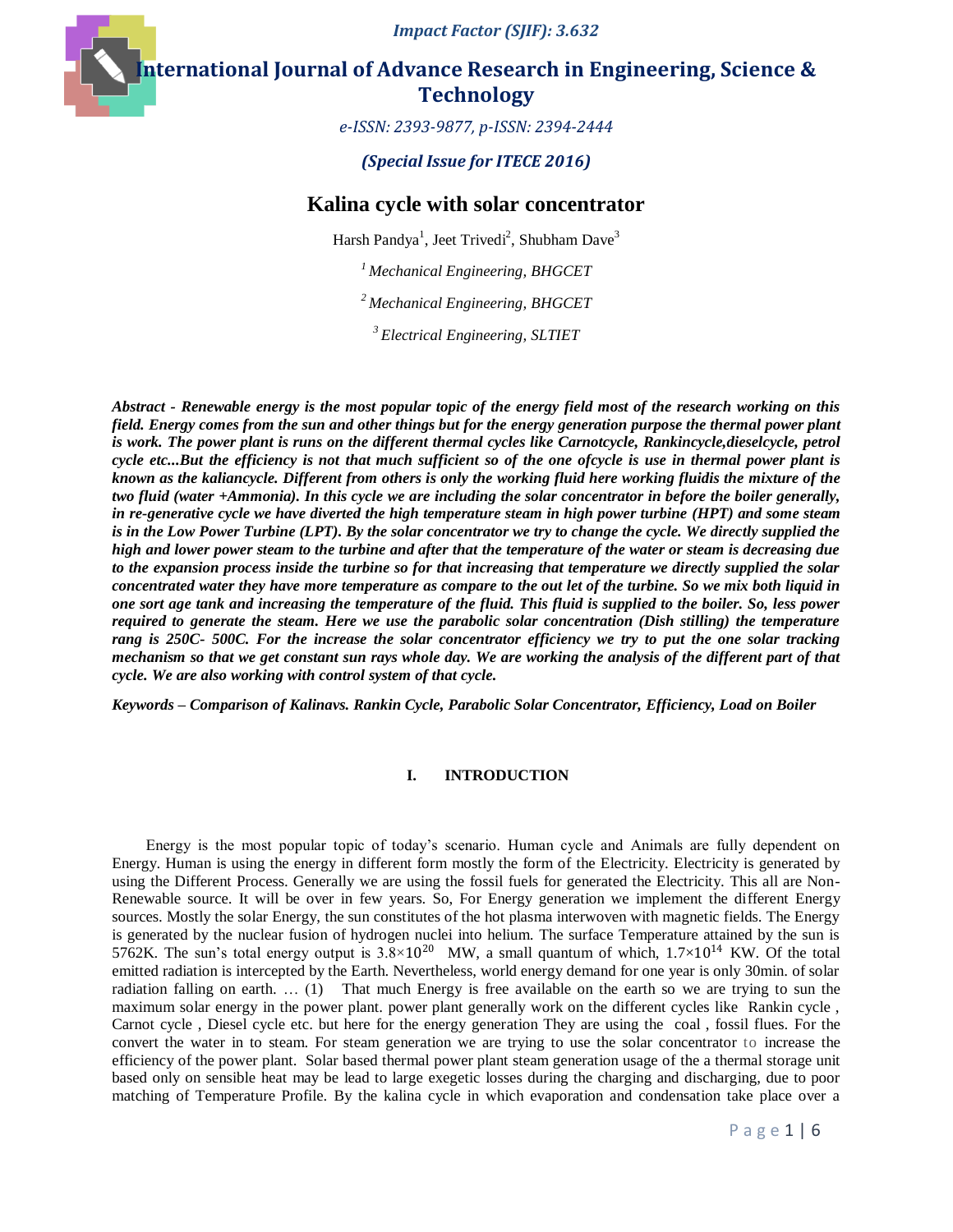*Impact Factor (SJIF): 3.632*

**International Journal of Advance Research in Engineering, Science & Technology** 

*e-ISSN: 2393-9877, p-ISSN: 2394-2444*

*(Special Issue for ITECE 2016)*

## **Kalina cycle with solar concentrator**

Harsh Pandya<sup>1</sup>, Jeet Trivedi<sup>2</sup>, Shubham Dave<sup>3</sup>

*<sup>1</sup>Mechanical Engineering, BHGCET*

*<sup>2</sup>Mechanical Engineering, BHGCET*

*<sup>3</sup>Electrical Engineering, SLTIET*

*Abstract - Renewable energy is the most popular topic of the energy field most of the research working on this field. Energy comes from the sun and other things but for the energy generation purpose the thermal power plant is work. The power plant is runs on the different thermal cycles like Carnotcycle, Rankincycle,dieselcycle, petrol cycle etc...But the efficiency is not that much sufficient so of the one ofcycle is use in thermal power plant is known as the kaliancycle. Different from others is only the working fluid here working fluidis the mixture of the two fluid (water +Ammonia). In this cycle we are including the solar concentrator in before the boiler generally, in re-generative cycle we have diverted the high temperature steam in high power turbine (HPT) and some steam is in the Low Power Turbine (LPT). By the solar concentrator we try to change the cycle. We directly supplied the high and lower power steam to the turbine and after that the temperature of the water or steam is decreasing due to the expansion process inside the turbine so for that increasing that temperature we directly supplied the solar concentrated water they have more temperature as compare to the out let of the turbine. So we mix both liquid in one sort age tank and increasing the temperature of the fluid. This fluid is supplied to the boiler. So, less power required to generate the steam. Here we use the parabolic solar concentration (Dish stilling) the temperature rang is 250C- 500C. For the increase the solar concentrator efficiency we try to put the one solar tracking mechanism so that we get constant sun rays whole day. We are working the analysis of the different part of that cycle. We are also working with control system of that cycle.*

*Keywords – Comparison of Kalinavs. Rankin Cycle, Parabolic Solar Concentrator, Efficiency, Load on Boiler*

#### **I. INTRODUCTION**

Energy is the most popular topic of today's scenario. Human cycle and Animals are fully dependent on Energy. Human is using the energy in different form mostly the form of the Electricity. Electricity is generated by using the Different Process. Generally we are using the fossil fuels for generated the Electricity. This all are Non-Renewable source. It will be over in few years. So, For Energy generation we implement the different Energy sources. Mostly the solar Energy, the sun constitutes of the hot plasma interwoven with magnetic fields. The Energy is generated by the nuclear fusion of hydrogen nuclei into helium. The surface Temperature attained by the sun is 5762K. The sun's total energy output is  $3.8 \times 10^{20}$  MW, a small quantum of which,  $1.7 \times 10^{14}$  KW. Of the total emitted radiation is intercepted by the Earth. Nevertheless, world energy demand for one year is only 30min. of solar radiation falling on earth. … (1) That much Energy is free available on the earth so we are trying to sun the maximum solar energy in the power plant. power plant generally work on the different cycles like Rankin cycle , Carnot cycle , Diesel cycle etc. but here for the energy generation They are using the coal , fossil flues. For the convert the water in to steam. For steam generation we are trying to use the solar concentrator to increase the efficiency of the power plant. Solar based thermal power plant steam generation usage of the a thermal storage unit based only on sensible heat may be lead to large exegetic losses during the charging and discharging, due to poor matching of Temperature Profile. By the kalina cycle in which evaporation and condensation take place over a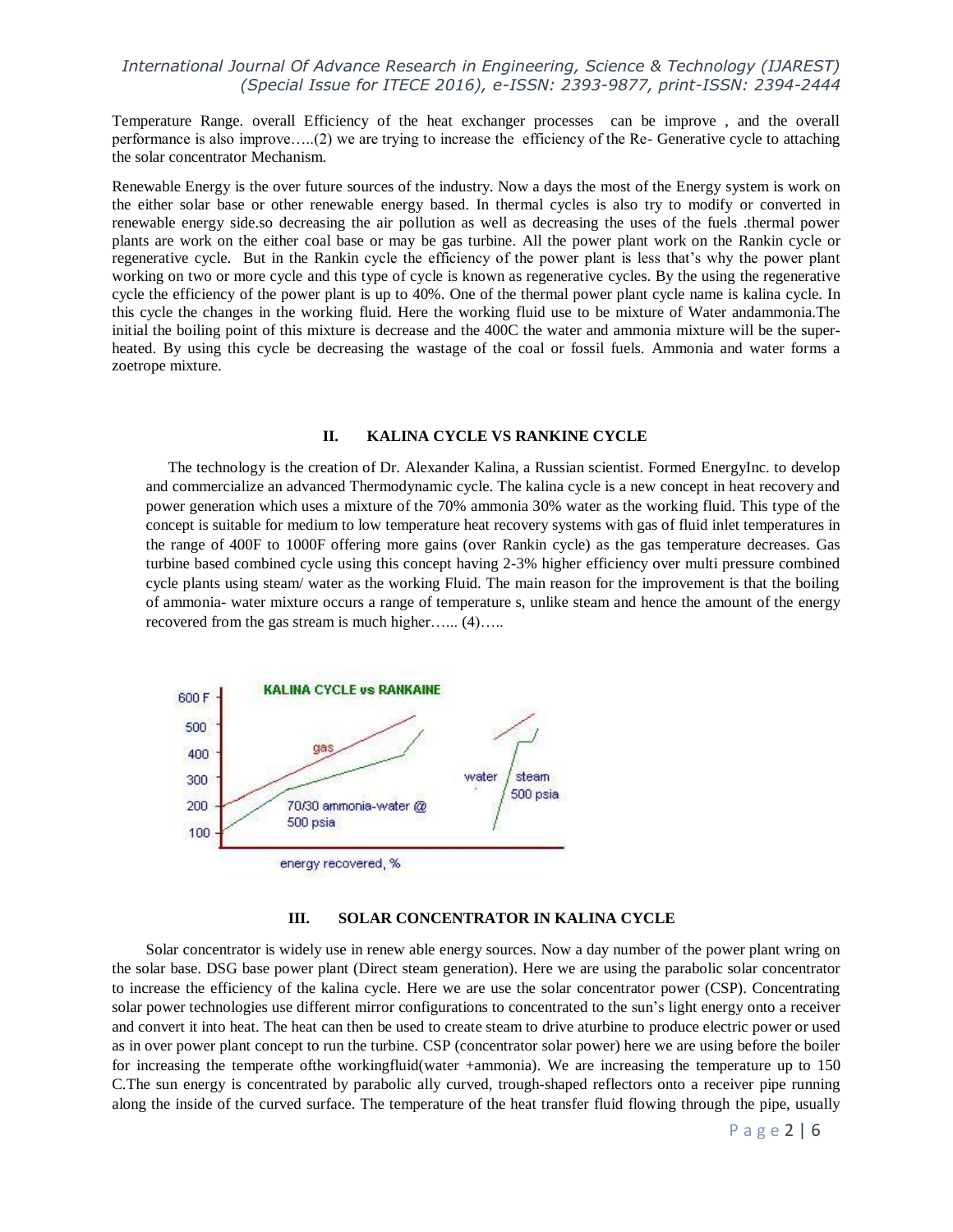Temperature Range. overall Efficiency of the heat exchanger processes can be improve , and the overall performance is also improve…..(2) we are trying to increase the efficiency of the Re- Generative cycle to attaching the solar concentrator Mechanism.

Renewable Energy is the over future sources of the industry. Now a days the most of the Energy system is work on the either solar base or other renewable energy based. In thermal cycles is also try to modify or converted in renewable energy side.so decreasing the air pollution as well as decreasing the uses of the fuels .thermal power plants are work on the either coal base or may be gas turbine. All the power plant work on the Rankin cycle or regenerative cycle. But in the Rankin cycle the efficiency of the power plant is less that's why the power plant working on two or more cycle and this type of cycle is known as regenerative cycles. By the using the regenerative cycle the efficiency of the power plant is up to 40%. One of the thermal power plant cycle name is kalina cycle. In this cycle the changes in the working fluid. Here the working fluid use to be mixture of Water andammonia.The initial the boiling point of this mixture is decrease and the 400C the water and ammonia mixture will be the superheated. By using this cycle be decreasing the wastage of the coal or fossil fuels. Ammonia and water forms a zoetrope mixture.

#### **II. KALINA CYCLE VS RANKINE CYCLE**

The technology is the creation of Dr. Alexander Kalina, a Russian scientist. Formed EnergyInc. to develop and commercialize an advanced Thermodynamic cycle. The kalina cycle is a new concept in heat recovery and power generation which uses a mixture of the 70% ammonia 30% water as the working fluid. This type of the concept is suitable for medium to low temperature heat recovery systems with gas of fluid inlet temperatures in the range of 400F to 1000F offering more gains (over Rankin cycle) as the gas temperature decreases. Gas turbine based combined cycle using this concept having 2-3% higher efficiency over multi pressure combined cycle plants using steam/ water as the working Fluid. The main reason for the improvement is that the boiling of ammonia- water mixture occurs a range of temperature s, unlike steam and hence the amount of the energy recovered from the gas stream is much higher…... (4)…..



#### **III. SOLAR CONCENTRATOR IN KALINA CYCLE**

Solar concentrator is widely use in renew able energy sources. Now a day number of the power plant wring on the solar base. DSG base power plant (Direct steam generation). Here we are using the parabolic solar concentrator to increase the efficiency of the kalina cycle. Here we are use the solar concentrator power (CSP). Concentrating solar power technologies use different mirror configurations to concentrated to the sun's light energy onto a receiver and convert it into heat. The heat can then be used to create steam to drive aturbine to produce electric power or used as in over power plant concept to run the turbine. CSP (concentrator solar power) here we are using before the boiler for increasing the temperate ofthe workingfluid(water +ammonia). We are increasing the temperature up to 150 C.The sun energy is concentrated by parabolic ally curved, trough-shaped reflectors onto a receiver pipe running along the inside of the curved surface. The temperature of the heat transfer fluid flowing through the pipe, usually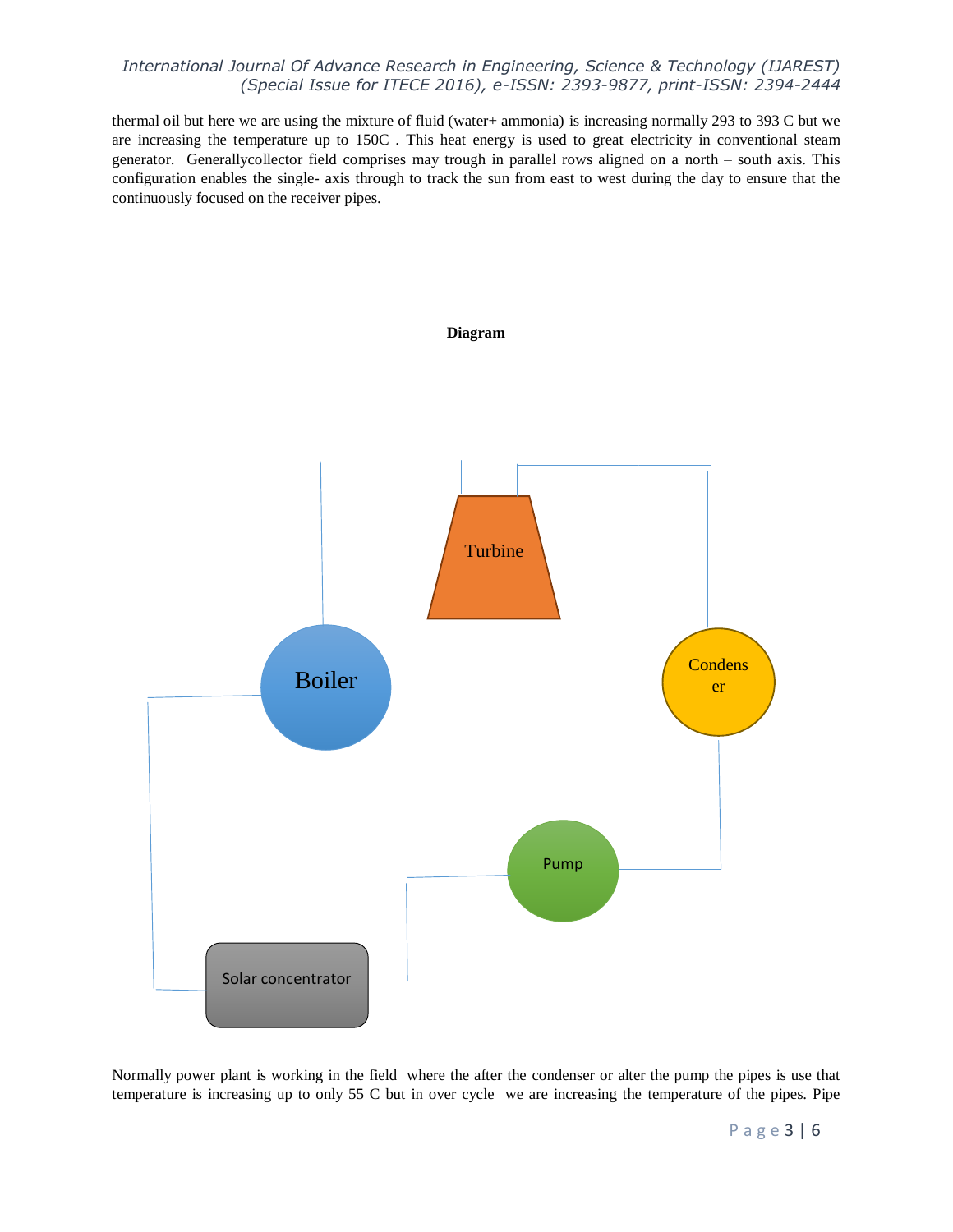thermal oil but here we are using the mixture of fluid (water+ ammonia) is increasing normally 293 to 393 C but we are increasing the temperature up to 150C . This heat energy is used to great electricity in conventional steam generator. Generallycollector field comprises may trough in parallel rows aligned on a north – south axis. This configuration enables the single- axis through to track the sun from east to west during the day to ensure that the continuously focused on the receiver pipes.



Normally power plant is working in the field where the after the condenser or alter the pump the pipes is use that temperature is increasing up to only 55 C but in over cycle we are increasing the temperature of the pipes. Pipe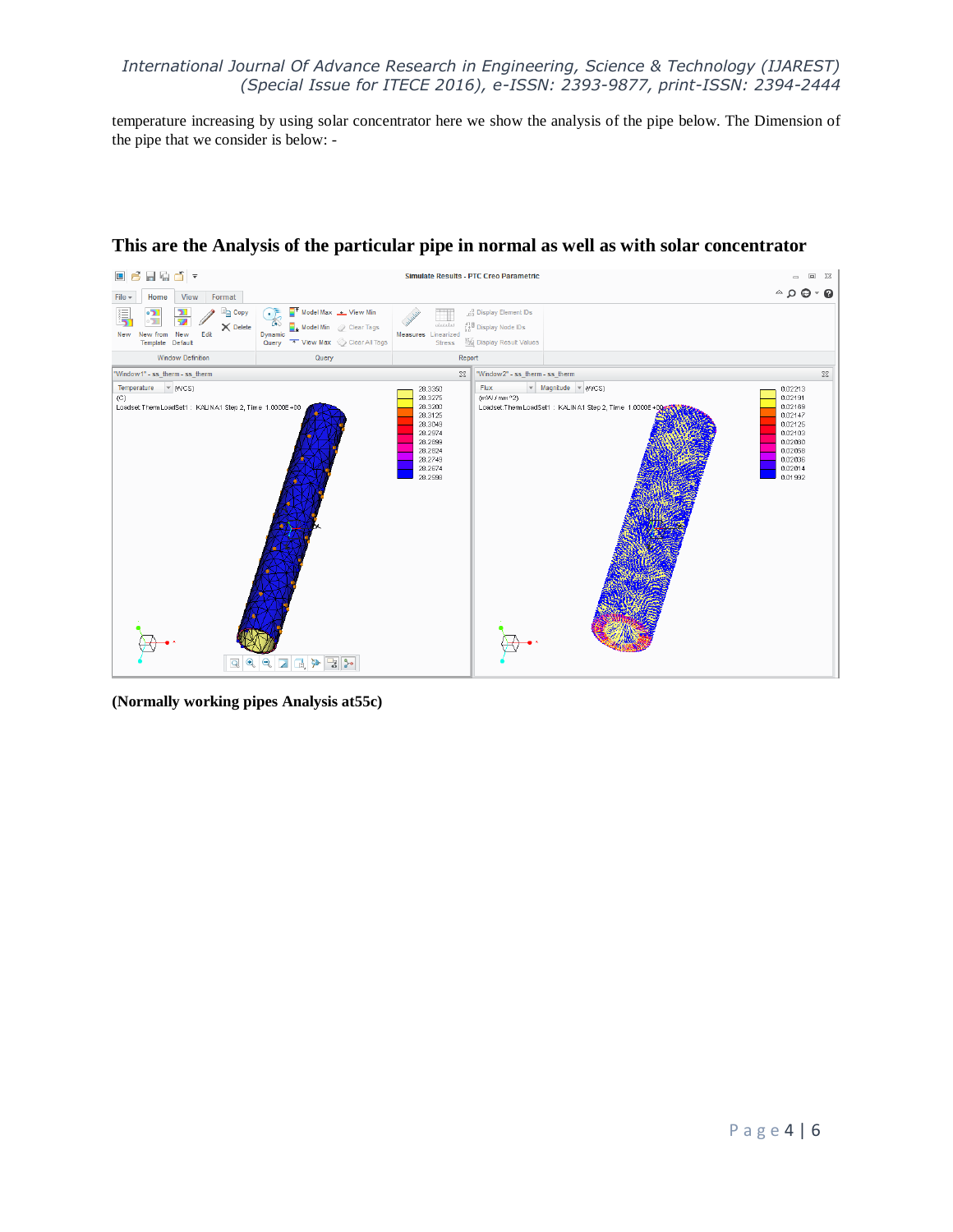temperature increasing by using solar concentrator here we show the analysis of the pipe below. The Dimension of the pipe that we consider is below: -



# **This are the Analysis of the particular pipe in normal as well as with solar concentrator**

**(Normally working pipes Analysis at55c)**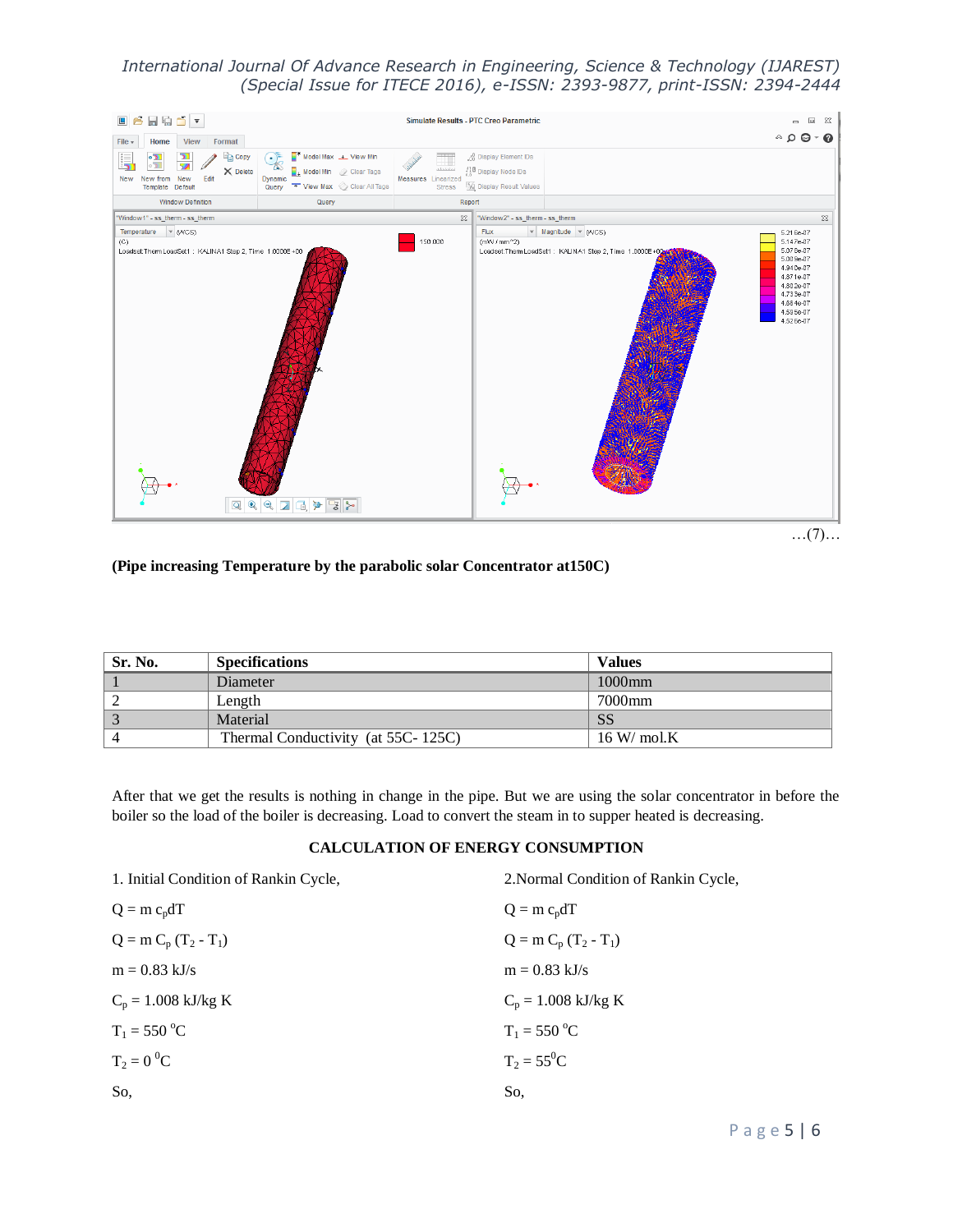

**(Pipe increasing Temperature by the parabolic solar Concentrator at150C)** 

| Sr. No. | <b>Specifications</b>              | <b>Values</b>          |
|---------|------------------------------------|------------------------|
|         | Diameter                           | $1000$ mm              |
|         | Length                             | 7000mm                 |
|         | Material                           | <b>SS</b>              |
|         | Thermal Conductivity (at 55C-125C) | $16 \,\mathrm{W/molK}$ |

After that we get the results is nothing in change in the pipe. But we are using the solar concentrator in before the boiler so the load of the boiler is decreasing. Load to convert the steam in to supper heated is decreasing.

## **CALCULATION OF ENERGY CONSUMPTION**

| 1. Initial Condition of Rankin Cycle, | 2. Normal Condition of Rankin Cycle, |
|---------------------------------------|--------------------------------------|
| $Q = m c_p dT$                        | $Q = m c_p dT$                       |
| $Q = m C_p (T_2 - T_1)$               | $Q = m C_p (T_2 - T_1)$              |
| $m = 0.83$ kJ/s                       | $m = 0.83$ kJ/s                      |
| $C_p = 1.008 \text{ kJ/kg K}$         | $C_p = 1.008 \text{ kJ/kg K}$        |
| $T_1 = 550 °C$                        | $T_1 = 550 °C$                       |
| $T_2 = 0^0C$                          | $T_2 = 55^0C$                        |
| So,                                   | So,                                  |
|                                       |                                      |